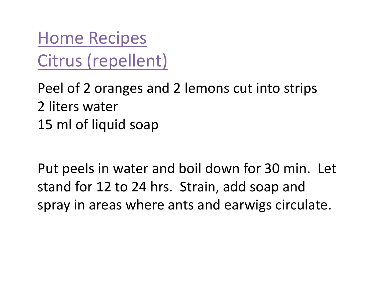Home RecipesCitrus (repellent)

Peel of 2 oranges and 2 lemons cut into strips 2 liters water15 ml of liquid soap

Put peels in water and boil down for 30 min. Let stand for 12 to 24 hrs. Strain, add soap and spray in areas where ants and earwigs circulate.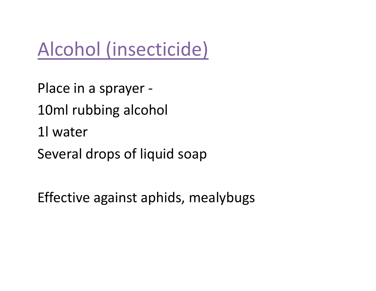# Alcohol (insecticide)

Place in a sprayer -10ml rubbing alcohol 1l waterSeveral drops of liquid soap

Effective against aphids, mealybugs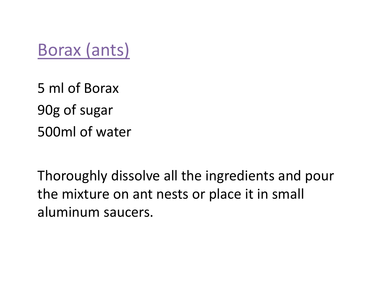Borax (ants)

5 ml of Borax90g of sugar500ml of water

Thoroughly dissolve all the ingredients and pour the mixture on ant nests or place it in small aluminum saucers.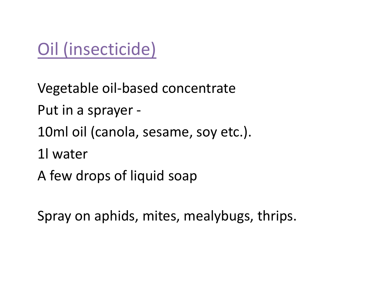# Oil (insecticide)

Vegetable oil-based concentrate Put in a sprayer -10ml oil (canola, sesame, soy etc.). 1l waterA few drops of liquid soap

Spray on aphids, mites, mealybugs, thrips.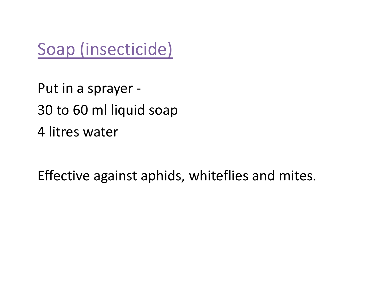Soap (insecticide)

Put in a sprayer - 30 to 60 ml liquid soap4 litres water

Effective against aphids, whiteflies and mites.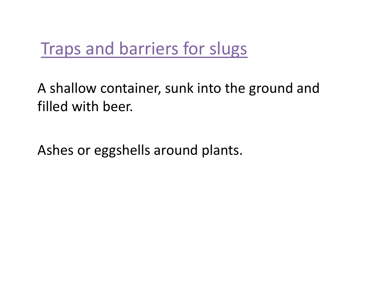# Traps and barriers for slugs

A shallow container, sunk into the ground and filled with beer.

Ashes or eggshells around plants.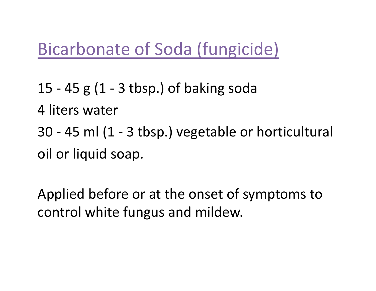### Bicarbonate of Soda (fungicide)

15 - 45 g (1 - 3 tbsp.) of baking soda 4 liters water30 - 45 ml (1 - 3 tbsp.) vegetable or horticultural oil or liquid soap.

Applied before or at the onset of symptoms to control white fungus and mildew.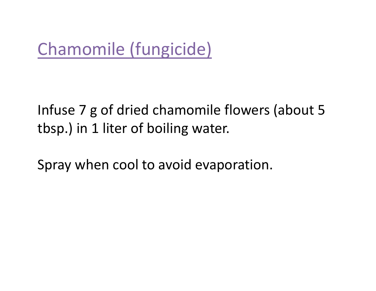# Chamomile (fungicide)

#### Infuse 7 g of dried chamomile flowers (about 5 tbsp.) in 1 liter of boiling water.

Spray when cool to avoid evaporation.